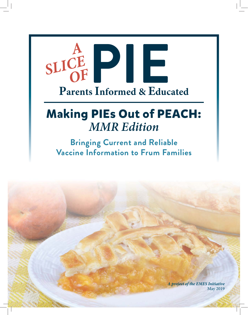

# **Making PIEs Out of PEACH:** *MMR Edition*

**Bringing Current and Reliable Vaccine Information to Frum Families**

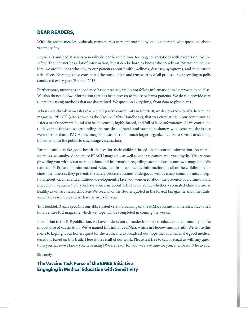#### **DEAR READERS,**

With the recent measles outbreak, many nurses were approached by anxious parents with questions about vaccine safety.

Physicians and pediatricians generally do not have the time for long conversations with parents on vaccine safety. The internet has a lot of information, but it can be hard to know who to rely on. Nurses are educators; we are the ones who talk to our patients about health, wellness, diseases, symptoms, and medication side effects. Nursing is also considered the most ethical and trustworthy of all professions, according to polls conducted every year (Brenan, 2018).

Furthermore, nursing is an evidence-based practice; we do not follow information that is proven to be false. We also do not follow information that has been proven to injure or harm patients. We do not provide care to patients using methods that are discredited. We question everything, from data to physicians.

When an outbreak of measles reached our Jewish community in late 2018, we discovered a locally distributed magazine, PEACH (also known as the Vaccine Safety Handbook), that was circulating in our communities. After a brief review, we found it to be inaccurate, highly biased, and full of false information. As we continued to delve into the issues surrounding the measles outbreak and vaccine hesitancy, we discovered the issues went further than PEACH. The magazine was part of a much larger organized effort to spread misleading information to the public to discourage vaccinations.

Parents cannot make good health choices for their children based on inaccurate information. As nursescientists, we analyzed the entire PEACH magazine, as well as other common anti-vaxx myths. We are now providing you with accurate refutations and information regarding vaccinations in our own magazine. We named it PIE: Parents Informed and Educated. In it, we include information on all of the childhood vaccines, the illnesses they prevent, the safety process vaccines undergo, as well as many common misconceptions about vaccines and childhood development. Have you wondered about the presence of aluminum and mercury in vaccines? Do you have concerns about SIDS? How about whether vaccinated children are as healthy as unvaccinated children? We read all of the studies quoted in the PEACH magazine and other antivaccination sources, and we have answers for you.

This booklet, *A Slice of PIE*, is our abbreviated version focusing on the MMR vaccine and measles. Stay tuned for an entire PIE magazine which we hope will be completed in coming the weeks.

In addition to the PIE publication, we have undertaken a broader initiative to educate our community on the importance of vaccination. We've named this initiative *EMES*, which in Hebrew means truth. We chose this name to highlight our honest quest for the truth, and to broadcast our hope that you will make good medical decisions based on this truth. Here is the result of our work. Please feel free to call or email us with any questions you have—we know you have many! We are ready for you, we have time for you, and we won't lie to you.

#### Sincerely,

#### **The Vaccine Task Force of the EMES Initiative Engaging in Medical Education with Sensitivity**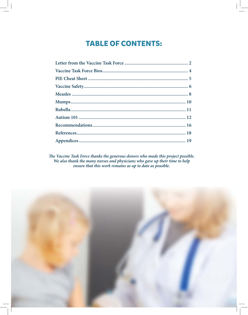## **TABLE OF CONTENTS:**

The Vaccine Task Force thanks the generous donors who made this project possible.<br>We also thank the many nurses and physicians who gave up their time to help<br>ensure that this work remains as up to date as possible.

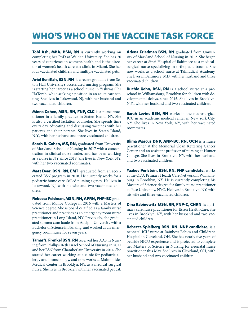# **WHO'S WHO ON THE VACCINE TASK FORCE**

**Tobi Ash, MBA, BSN, RN** is currently working on completing her PhD at Walden University. She has 20 years of experience in women's health and is the director of women's health care at a clinic in Miami. She has four vaccinated children and multiple vaccinated pets.

Ariel Beniflah, BSN, RN is a recent graduate from Seton Hall University's accelerated nursing program. She is starting her career as a school nurse in Yeshivas Ohr HaTorah, while seeking a position in an acute care setting. She lives in Lakewood, NJ, with her husband and two vaccinated children.

**Minna Cohen, MSN, RN, FNP, CLC** is a nurse practitioner in a family practice in Staten Island, NY. She is also a certified lactation counselor. She spends time every day educating and discussing vaccines with her patients and their parents. She lives in Staten Island, N.Y., with her husband and three vaccinated children.

**Sarah B. Cohen, MS, RN, graduated from University** of Maryland School of Nursing in 2017 with a concentration in clinical nurse leader, and has been working as a nurse in NY since 2018. She lives in New York, NY, with her two vaccinated roommates.

**Matt Dear, BSN, RN, EMT** graduated from an accelerated BSN program in 2018. He currently works for a pediatric home care skilled nursing agency. He lives in Lakewood, NJ, with his wife and two vaccinated children.

**Rebecca Feldman, MSN, RN, APRN, FNP-BC** graduated from Molloy College in 2016 with a Masters of Science degree. She is board certified as a family nurse practitioner and practices as an emergency room nurse practitioner in Long Island, NY. Previously, she graduated summa cum laude from Adelphi University with a Bachelor of Science in Nursing, and worked as an emergency room nurse for seven years.

**Tamar Y. Frenkel BSN, RN** received her AAS in Nursing from Phillips Beth Israel School of Nursing in 2011 and her BSN from Chamberlain University in 2014. She started her career working at a clinic for pediatric allergy and immunology, and now works at Maimonides Medical Center in Brooklyn, NY, as a medical-surgical nurse. She lives in Brooklyn with her vaccinated pet cat. **Adena Friedman BSN, RN** graduated from University of Maryland School of Nursing in 2012. She began her career at Sinai Hospital of Baltimore as a medicalsurgical nurse specializing in orthopedic trauma. She now works as a school nurse at Talmudical Academy. She lives in Baltimore, MD, with her husband and three vaccinated children.

**Ruchie Kohn, BSN, RN** is a school nurse at a preschool in Williamsburg, Brooklyn for children with developmental delays, since 2015. She lives in Brooklyn, N.Y., with her husband and two vaccinated children.

**Sarah Levine BSN, RN** works in the neurosurgical ICU in an academic medical center in New York City, NY. She lives in New York, NY, with her vaccinated roommates.

**Blima Marcus DNP, ANP-BC, RN, OCN** is a nurse practitioner at the Memorial Sloan Kettering Cancer Center and an assistant professor of nursing at Hunter College. She lives in Brooklyn, NY, with her husband and two vaccinated children.

**Yaakov Perlstein, BSN, RN, FNP candidate,** works at the ODA Primary Health Care Network in Williamsburg in Brooklyn, NY. He is currently completing his Masters of Science degree for family nurse practitioner at Pace University, NYC. He lives in Brooklyn, NY, with his wife and three vaccinated children.

**Dina Rabinowitz MSN, RN, FNP-C, CNRN** is a primary care nurse practitioner for Essen Health Care. She lives in Brooklyn, NY, with her husband and two vaccinated children.

**Rebecca Spielberg BSN, RN, NNP candidate,** is a neonatal ICU nurse at Rainbow Babies and Children's Hospital in Cleveland, OH. She has nearly five years of bedside NICU experience and is projected to complete her Masters of Science in Nursing for neonatal nurse practitioner this May. She lives in Cleveland, OH, with her husband and two vaccinated children.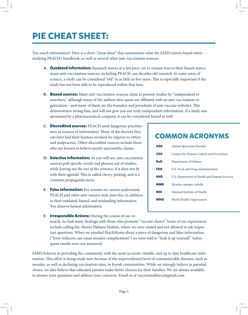# **PIE CHEAT SHEET:**

Too much information? Here is a short "cheat sheet" that summarizes what the EMES nurses found when studying PEACH's handbook, as well as several other anti-vaccination sources:

- **A. Outdated information:** Research moves at a fast pace, yet to remain true to their biased stance, many anti-vaccination sources, including PEACH, use decades old research. In some areas of science, a study can be considered "old" in as little as five years. This is especially important if the study has not been able to be reproduced within that time.
- **B. Biased sources:** Many anti-vaccination sources claim to present studies by "independent researchers," although many of the authors they quote are affiliated with an anti-vaccination organization—and many of them are the founders and presidents of anti-vaccine websites. This demonstrates strong bias, and will not give you any truly independent information. If a study was sponsored by a pharmaceutical company, it can be considered biased as well.
- **C. Discredited sources:** PEACH used dangerous practitioners as sources of information. Many of the doctors they cite have had their licenses revoked for injuries to others and malpractice. Other discredited sources include those who are known to believe purely unscientific claims.
- **D. Selective information:** As you will see, anti-vaccination sources pull specific words and phrases out of studies, *while leaving out the rest of the sentence*, if it does not fit with their agenda! This is called cherry picking, and is a common propaganda tactic.
- **E. False information:** For reasons we cannot understand, PEACH and other anti-vaxxers state pure lies, in addition to their outdated, biased, and misleading information. You deserve honest information.
- **F. Irresponsible Actions:** During the course of our re-

search, we had many dealings with those who promote "vaccine choice". Some of our experiences include calling the Akeres Habayis Hotline, where we were muted and not allowed to ask important questions. When we emailed PeachMoms about a piece of dangerous and false information ("fever reducers can cause measles complications") we were told to "look it up yourself." Subsequent emails were not answered.

EMES believes in providing the community with the most accurate, reliable, and up to date healthcare information. This effort is being made now because of the unprecedented level of communicable diseases, such as measles, as well as declining vaccination rates, in Jewish communities. While we strongly believe in parental choice, we also believe that educated parents make better choices for their families. We are always available to answer your questions and address your concerns. Email us at vaccinetaskforce@gmail.com.

## **COMMON ACRONYMS**

| ASD        | Autism Spectrum Disorder                     |  |  |  |  |
|------------|----------------------------------------------|--|--|--|--|
| <b>CDC</b> | Centers for Disease Control and Prevention   |  |  |  |  |
| DoD        | Department of Defense                        |  |  |  |  |
| FDA        | U.S. Food and Drug Administration            |  |  |  |  |
| <b>HHS</b> | U.S. Department of Health and Human Services |  |  |  |  |
| <b>MMR</b> | Measles, mumps, rubella                      |  |  |  |  |
| <b>NIH</b> | National Institute of Health                 |  |  |  |  |
| <b>WHO</b> | World Health Organization                    |  |  |  |  |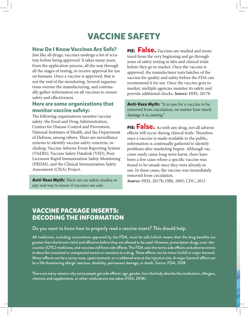# **VACCINE SAFETY**

## **How Do I Know Vaccines Are Safe?**

Just like all drugs, vaccines undergo a lot of scrutiny before being approved. It takes many years, from the application process, all the way through all the stages of testing, to receive approval for use on humans. Once a vaccine is approved, that is not the end of the monitoring. Several organizations oversee the manufacturing, and continually gather information on all vaccines to ensure safety and effectiveness.

### **Here are some organizations that monitor vaccine safety:**

The following organizations monitor vaccine safety: the Food and Drug Administration, Centers for Disease Control and Prevention, National Institutes of Health, and the Department of Defense, among others. There are surveillance systems to identify vaccine safety concerns, including: Vaccine Adverse Event Reporting System (VAERS), Vaccine Safety Datalink (VSD), Post-Licensure Rapid Immunization Safety Monitoring (PRISM), and the Clinical Immunization Safety Assessment (CISA) Project.

**Anti-Vaxx Myth:** There are no safety studies or any real way to know if vaccines are safe.

**PIE:** False. Vaccines are studied and monitored from the very beginning and go through years of safety testing in labs and clinical trials before they go to market. Once the vaccine is approved, the manufacturer tests batches of the vaccine for quality and safety before the FDA can recommend it for use. Once the vaccine goes to market, multiple agencies monitor its safety and provide additional checks. *Source:* HHS, 2017b

**Anti-Vaxx Myth:** "It is rare for a vaccine to be removed from circulation, no matter how much damage it is causing."

**PIE:** False. As with any drug, not all adverse effects will occur during clinical trials. Therefore, once a vaccine is made available to the public, information is continually gathered to identify problems after marketing begins. Although vaccines rarely cause long-term harm, there have been a few cases where a specific vaccine was found to be unsafe once they were already in use. In these cases, the vaccine was immediately removed from circulation. Source: HHS, 2017b; Offit, 2005; CDC, 2015

## **VACCINE PACKAGE INSERTS: DECODING THE INFORMATION**

#### Do you want to know how to properly read a vaccine insert? This should help.

All medicines, including vaccinations approved by the FDA, must be safe (which means that the drug benefits are greater than the known risks) and effective before they are allowed to be used. However, prescription drugs, over-thecounter (OTC) medicines, and vaccines still have side effects. The FDA uses the terms side effects and adverse events to describe unwanted or unexpected events or reactions to a drug. These effects can be minor (mild) or major (severe). Minor effects can be a runny nose, upset stomach, or a reddened area at the injection site. A major (severe) effect can be a life threatening allergic reaction, disability, permanent damage, or death. *Source:* FDA, 2018

There are many reasons why some people get side effects: age, gender, how the body absorbs the medication, allergies, vitamins and supplements, or other medications one takes (FDA, 2018).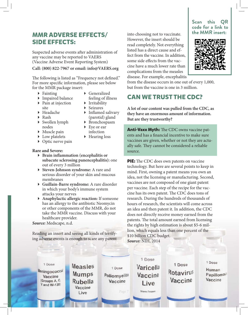## **MMR ADVERSE EFFECTS/ SIDE EFFECTS:**

Suspected adverse events after administration of any vaccine may be reported to VAERS (Vaccine Adverse Event Reporting System)

#### **Call: (800) 822-7967 or email: info@VAERS.org**

The following is listed as "Frequency not defined." For more specific information, please see below for the MMR package insert:

- $\blacktriangleright$  Fainting
- Generalized

 $\triangleright$  Inflamed salivary (parotid) gland Bronchospasm ▶ Eye or ear

- ▶ Impaired balance
- feeling of illness **Irritability**

Seizures

- ▶ Pain at injection site
- ▶ Headache
- $\triangleright$  Rash
- Swollen lymph nodes
- Muscle pain ▶ Low platelets
- infection ▶ Hearing loss
- ▶ Optic nerve pain

#### **Rare and Severe:**

- **Brain inflammation (encephalitis or subacute sclerosing panencephalitis):** one out of every 3 million
- **Steven-Johnson syndrome:** A rare and serious disorder of your skin and mucous membranes
- **Guillain-Barre syndrome:** A rare disorder in which your body's immune system attacks your nerves
- **Anaphylactic allergic reaction:** If someone has an allergy to the antibiotic Neomycin or other components of the MMR, do not take the MMR vaccine. Discuss with your healthcare provider.

*Source:* Medscape, n.d.

Reading an insert and seeing all kinds of terrifying adverse events is enough to scare any parent

into choosing not to vaccinate. However, the insert should be read completely. Not everything listed has a direct cause and effect from the vaccine. In addition, some side effects from the vaccine have a much lower rate than complications from the measles disease. For example, encephalitis **Scan this QR code for a link to the MMR insert:**



from the disease occurs in one out of every 1,000, but from the vaccine is one in 3 million.

## **CAN WE TRUST THE CDC?**

**A lot of our content was pulled from the CDC, as they have an enormous amount of information. But are they trustworthy?**

**Anti-Vaxx Myth:** The CDC owns vaccine patents and has a financial incentive to make sure vaccines are given, whether or not they are actually safe. They cannot be considered a reliable source.

**PIE:** The CDC does own patents on vaccine technology. But here are several points to keep in mind. First, owning a patent means you own an idea, not the licensing or manufacturing. Second, vaccines are not composed of one giant patent per vaccine. Each step of the recipe for the vaccine has its own patent. The CDC does tons of research. During the hundreds of thousands of hours of research, the scientists will come across an idea and then patent it. In addition, the CDC does not directly receive money earned from the patents. The total amount earned from licensing the rights by high estimation is about \$5-6 million, which equals less than one percent of the \$10 billion CDC budget. *Source:* NIH, 2014

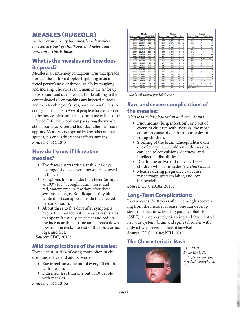## **MEASLES (RUBEOLA)**

*Anti-vaxx myths say that measles is harmless, a necessary part of childhood, and helps build immunity*. This is false.

## **What is the measles and how does it spread?**

Measles is an extremely contagious virus that spreads through the air from droplets beginning in an infected person's nose or throat, usually by coughing and sneezing. The virus can remain in the air for up to two hours and can spread just by breathing in the contaminated air or touching any infected surfaces and then touching one's eyes, nose, or mouth. It is so contagious that up to 90% of people who are exposed to the measles virus and are not immune will become infected. Infected people can pass along the measles about four days before and four days after their rash appears. Measles is not spread by any other animal species; it is only a disease that affects humans. *Source:* CDC, 2018f

## **How do I know if I have the measles?**

- $\triangleright$  The disease starts with a rash 7-21 days (average 14 days) after a person is exposed to the virus.
- $\triangleright$  Symptoms first include: high fever (as high as 103°-105°), cough, runny nose, and red, watery eyes. A few days after these symptoms begin, Koplik spots (tiny bluewhite dots) can appear inside the affected person's mouth.
- $\blacktriangleright$  About three to five days after symptoms begin, the characteristic measles rash starts to appear. It usually starts flat and red on the face near the hairline and spreads down towards the neck, the rest of the body, arms, legs, and feet.

*Source:* CDC, 2018c

## **Mild complications of the measles:**

These occur in 30% of cases; more often in children under five and adults over 20.

- **Ear infections:** one out of every 10 children with measles
- **Diarrhea:** less than one out of 10 people with measles

*Source:* CDC, 2018a

|      | <b>Measles</b> |               |                |      | <b>Measles</b> |                |                     |                   | <b>Measles</b>  |                     |                      |
|------|----------------|---------------|----------------|------|----------------|----------------|---------------------|-------------------|-----------------|---------------------|----------------------|
| Year | Cases          | <b>Deaths</b> | Rate           | Year | Cases          | <b>Deaths</b>  | Rate                | Year              | Cases           | <b>Deaths</b>       | Rate                 |
| 1950 | 319.124        | 468           |                | 1973 | 26,690         | 23             | 1                   | 1996              | 508             | 1                   | $\overline{2}$       |
| 1951 | 530.118        | 683           |                | 1974 | 22.094         | 20             | 1                   | 1997              | 138             | $\overline{2}$      | 14                   |
| 1952 | 683,007        | 618           | 1              | 1975 | 24,374         | 20             | 1                   | 1998              | 100             | Ō                   | 0                    |
| 1953 | 449,146        | 462           | 1              | 1976 | 41.126         | 12             | $\bf{0}$            | 1999              | 100             | $\overline{2}$      | 20                   |
| 1954 | 682.720        | 518           | 1              | 1977 | 57,345         | 15             | $\Omega$            | 2000              | 86              | 1                   | 12                   |
| 1955 | 555.156        | 345           | 1              | 1978 | 26,871         | 11             | $\mathbf{0}$        | 2001              | 116             | 1                   | 9                    |
| 1956 | 611.936        | 530           | 1              | 1979 | 13,597         | 6              | $\ddot{\mathbf{0}}$ | 2002              | 44              | Ō                   | $\ddot{\phantom{0}}$ |
| 1957 | 486,799        | 389           | ٠              | 1980 | 13,506         | 11             | 1                   | 2003              | 56              | 1                   | 18                   |
| 1958 | 763,094        | 552           | 1              | 1981 | 3,124          | 2              | 1                   | 2004              | 37              | $\ddot{\mathbf{o}}$ | $\ddot{\mathbf{0}}$  |
| 1959 | 406,162        | 385           | 1              | 1982 | 1.714          | 2              | 1                   | 2005              |                 | 66 NA               | <b>NA</b>            |
| 1960 | 441.703        | 380           | 1              | 1983 | 1,497          | 4              | 3                   | 2005              | SS <sub></sub>  | o                   | o                    |
| 1961 | 423,919        | 434           | 1              | 1984 | 2.587          | 1              | $\bf{0}$            | 2007              | 43              | O                   | $^{\circ}$           |
| 1962 | 481.530        | 408           | 1              | 1985 | 2.822          | Δ              | $\mathbf{1}$        | 2008              | 140             | $\circ$             | $\circ$              |
| 1963 | 385.156        | 364           | 1              | 1986 | 6.282          | $\overline{2}$ | 0                   | 2009              | $\overline{71}$ | $\overline{2}$      | 28                   |
| 1964 | 458,083        | 421           | 1              | 1987 | 3.655          | $\overline{2}$ | 1                   | 2010              | 63              | $\overline{2}$      | 32                   |
| 1965 | 261,904        | 276           | п              | 1988 | 3,396          | 3              | $\mathbf{1}$        | 2011              | 220             | $\Omega$            | $\alpha$             |
| 1966 | 204,136        | 261           | $\mathbf{P}$   | 1989 | 18,193         | 32             | 2                   | 2012              | 55              | $\overline{2}$      | 36                   |
| 1967 | 62,705         | 81            | 1              | 1990 | 27,786         | 64             | $\overline{2}$      | 2013              | 187             | $\ddot{\mathbf{0}}$ | 0                    |
| 1968 | 22,231         | 24            | ٠              | 1991 | 9.643          | 27             | 3                   | 2014              | 667             | n                   | n                    |
| 1969 | 25.826         | 41            | $\overline{2}$ | 1992 | 2,237          | 4              | 2                   | 2015              | 188 NA          |                     | <b>NA</b>            |
| 1970 | 47351          | 89            | 2              | 1993 | 312            | $\Omega$       | $\Omega$            | 2016              |                 | 85 NA               | <b>NA</b>            |
| 1971 | 75,290         | 90            | 1              | 1994 | 963            | $\Omega$       | $\Omega$            | TOTALS:           | 8.722.519       | 8.124               |                      |
| 1972 | 32.275         | 24            |                | 1995 | 309            | 2              | 6                   | Source: CDC, 2018 |                 |                     |                      |

*Rate is calculated per 1,000 cases*

## **Rare and severe complications of the measles:**

*(Can lead to hospitalization and even death)* 

- **Pneumonia (lung infection):** one out of every 20 children with measles; the most common cause of death from measles in young children.
- **Swelling of the brain (Encephalitis):** one out of every 1,000 children with measles; can lead to convulsions, deafness, and intellectual disabilities.
- **Death:** one or two out of every 1,000 children who get measles *(see chart above).*
- Measles during pregnancy can cause miscarriage, preterm labor, and lowbirthweight.

*Source:* CDC 2018a; 2018c

## **Long-Term Complications:**

In rare cases, 7-10 years after seemingly recovering from the measles disease, one can develop signs of subacute sclerosing panencephalitis (SSPE), a progressively disabling and fatal central nervous system (brain and spine) disorder with only a five percent chance of survival. *Source:* CDC, 2018c; NIH, 2019

## **The Characteristic Rash**



*CDC PHIL Photo ID#1150. https://www.cdc.gov/ measles/about/photos. html*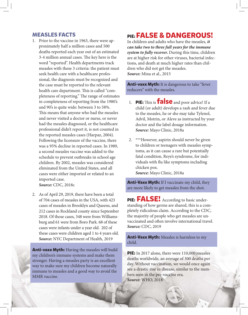#### **MEASLES FACTS**

- 1. Prior to the vaccine in 1963, there were approximately half a million cases and 500 deaths reported each year out of an estimated 3-4 million annual cases. The key here is the word "reported". Health departments track measles with these 3 criteria: the patient must seek health care with a healthcare professional, the diagnosis must be recognized and the case must be reported to the relevant health care department. This is called "completeness of reporting." The range of estimates in completeness of reporting from the 1980's and 90's is quite wide: between 3 to 58%. This means that anyone who had the measles and never visited a doctor or nurse, or never had the measles diagnosed, or the healthcare professional didn't report it, is not counted in the reported measles cases (Harpaz, 2004). Following the licensure of the vaccine, there was a 95% decline in reported cases. In 1989, a second measles vaccine was added to the schedule to prevent outbreaks in school age children. By 2002, measles was considered eliminated from the United States, and all cases were either imported or related to an imported case. *Source:* CDC, 2018c
- 2. As of April 29, 2019, there have been a total of 704 cases of measles in the USA, with 423 cases of measles in Brooklyn and Queens, and 212 cases in Rockland county since September 2018. Of those cases, 348 were from Williamsburg and 61 were from Boro Park. 68 of these cases were infants under a year old. 202 of these cases were children aged 1 to 4 years old. *Source:* NYC Department of Health, 2019

**Anti-vaxx Myth:** Having the measles will build my children's immune systems and make them stronger. Having a measles party is an excellent way to make sure my children become naturally immune to measles and a good way to avoid the MMR vaccine.

## **PIE: FALSE & DANGEROUS!**

In children and adults who have the measles, *it can take two to three full years for the immune system to fully recover.* During this time, children are at higher risk for other viruses, bacterial infections, and death at much higher rates than children who did not get the measles. *Source:* Mina et al., 2015

**Anti-vaxx Myth:** It is dangerous to take "fever reducers" with the measles.

- 1. **PIE:** This is **false** and poor advice! If a child (or adult) develops a rash and fever due to the measles, he or she may take Tylenol, Advil, Motrin, or Aleve as instructed by your doctor and the label dosage information. *Source:* Mayo Clinic, 2018a
- 2. \*\*\*However, aspirin should never be given to children or teenagers with measles symptoms, as it can cause a rare but potentially fatal condition, Reye's syndrome, for individuals with flu like symptoms including chicken pox. *Source:* Mayo Clinic, 2018a

**Anti-Vaxx Myth:** If I vaccinate my child, they are more likely to get measles from the shot.

**PIE: FALSE!** According to basic understanding of how germs are shared, this is a completely ridiculous claim. According to the CDC, the majority of people who get measles are unvaccinated and often involve international travel. *Source:* CDC, 2019

**Anti-Vaxx Myth:** Measles is harmless to my child.

**PIE:** In 2017 alone, there were 110,000 measles deaths worldwide, an average of 300 deaths per day. Without vaccination, we would once again see a drastic rise in disease, similar to the numbers seen in the pre-vaccine era. *Source:* WHO, 2018

Page 9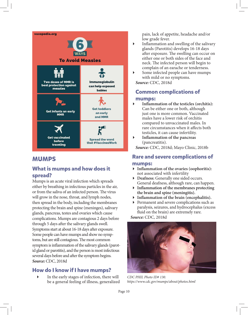

## **MUMPS**

## **What is mumps and how does it spread?**

Mumps is an acute viral infection which spreads either by breathing in infectious particles in the air, or from the saliva of an infected person. The virus will grow in the nose, throat, and lymph nodes, then spread in the body, including the membranes protecting the brain and spine (meninges), salivary glands, pancreas, testes and ovaries which cause complications. Mumps are contagious 2 days before through 5 days after the salivary glands swell. Symptoms start at about 16-18 days after exposure. Some people can have mumps and show no symptoms, but are still contagious. The most common symptom is inflammation of the salivary glands (parotid gland or parotitis), and the person is most infectious several days before and after the symptom begins. *Source:* CDC, 2018d

## **How do I know if I have mumps?**

 In the early stages of infection, there will be a general feeling of illness, generalized pain, lack of appetite, headache and/or low grade fever.

- $\blacktriangleright$  Inflammation and swelling of the salivary glands (Parotitis) develops 16-18 days after exposure. The swelling can occur on either one or both sides of the face and neck. The infected person will begin to complain of an earache or tenderness.
- Some infected people can have mumps with mild or no symptoms.

*Source:* CDC, 2018d

## **Common complications of**

#### **mumps:**

- Inflammation of the testicles (orchitis): Can be either one or both, although just one is more common. Vaccinated males have a lower risk of orchitis compared to unvaccinated males. In rare circumstances when it affects both testicles, it can cause infertility.
- **Inflammation of the pancreas** (pancreatitis).

*Source:* CDC, 2018d; Mayo Clinic, 2018b

## **Rare and severe complications of mumps:**

#### **Inflammation of the ovaries (oophoritis):** not associated with infertility

- **Deafness:** Generally one sided occurs. General deafness, although rare, can happen.
- **Inflammation of the membranes protecting the brain and spine (meningitis).**
- **Inflammation of the brain (encephalitis).**
- Permanent and severe complications such as paralysis, seizures, and hydrocephalus (excess fluid on the brain) are extremely rare.

*Source:* CDC, 2018d



*CDC PHIL Photo ID# 130. https://www.cdc.gov/mumps/about/photos.html*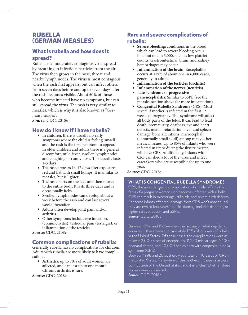## **RUBELLA (GERMAN MEASLES)**

## **What is rubella and how does it spread?**

Rubella is a moderately contagious virus spread by breathing in infectious particles from the air. The virus then grows in the nose, throat and nearby lymph nodes. The virus is most contagious when the rash first appears, but can infect others from seven days before and up to seven days after the rash becomes visible. About 50% of those who become infected have no symptoms, but can still spread the virus. The rash is very similar to measles, which is why it is also known as "German measles".

*Source:* CDC, 2018e

## **How do I know if I have rubella?**

- In children, there is usually no early symptoms where the child is feeling unwell and the rash is the first symptom to appear. In older children and adults there is a general discomfort, mild fever, swollen lymph nodes and coughing or runny nose. This usually lasts 1-5 days.
- $\triangleright$  The rash appears 14-17 days after exposure, red and flat with small bumps. It is similar to measles, but is lighter.
- $\blacktriangleright$  The rash starts on the face and then moves to the entire body. It lasts three days and is occasionally itchy.
- Swollen lymph nodes can develop about a week before the rash and can last several weeks thereafter.
- $\blacktriangleright$  Adults often develop joint pain and/or arthritis.
- Other symptoms include eye infection. (conjunctivitis), testicular pain (testalgia), or inflammation of the testicles.

*Source:* CDC, 2108e

### **Common complications of rubella:**

Generally rubella has no complications for children. Adults with rubella are more likely to have complications.

 **Arthritis:** up to 70% of adult women are affected, and can last up to one month. Chronic arthritis is rare.

*Source:* CDC, 2018e

### **Rare and severe complications of rubella:**

- **Severe bleeding:** conditions in the blood which can lead to severe bleeding occur in about one in 3,000, such as low platelet counts. Gastrointestinal, brain, and kidney hemorrhages may occur.
- **Inflammation of the brain:** Encephalitis occurs at a rate of about one in 6,000 cases, generally in adults.
- **Inflammation of the testicles (orchitis)**
- **Inflammation of the nerves (neuritis)**
- **Late syndrome of progressive panencephalitis:** Similar to SSPE (see the measles section above for more information).
- **Congenital Rubella Syndrom**e (CRS): Most severe if mother is infected in the first 12 weeks of pregnancy. This syndrome will affect all body parts of the fetus. It can lead to fetal death, prematurity, deafness, eye and heart defects, mental retardation, liver and spleen damage, bone alterations, microcephaly (abnormally small skull) among many other medical issues. Up to 85% of infants who were infected in utero during the first trimester, will have CRS. Additionally, infants with CRS can shed a lot of the virus and infect caretakers who are susceptible for up to one year.

#### *Source:* CDC, 2018e

#### **WHAT IS CONGENITAL RUBELLA SYNDROME?**

CRS, the most dangerous complication of rubella, affects the fetus of a pregnant woman who becomes infected with rubella. CRS can result in miscarriage, stillbirth, and severe birth defects. For some infants affected, damage from CRS won't appear until they are two to four years old. This damage includes diabetes, or higher rates of autism and SSPE. *Source:* CDC, 2018e

Between 1964 and 1965—when the last major rubella epidemic occurred—there were approximately 12.5 million cases of rubella in the United States. Of those cases, the complications were as follows: 2,000 cases of encephalitis, 11,250 miscarriages, 2,100 neonatal deaths, and 20,000 babies born with congenital rubella syndrome (CRS).

Between 1998 and 2015, there was a total of 40 cases of CRS in the United States. Thirty-five of the mothers in these case were born outside of the United States, and it is unclear whether these women were vaccinated. *Source:* CDC, 2018b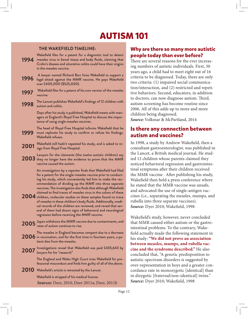## **AUTISM 101**

#### **THE WAKEFIELD TIMELINE:**

- Wakefield files for a patent for a diagnostic tool to detect **1994** measles virus in bowel tissue and body fluids, claiming that Crohn's disease and ulcerative colitis could have their origins in the measles vaccine.
- A lawyer named Richard Barr hires Wakefield to support a legal attack against the MMR vaccine. He pays Wakefield over £400,000 (\$525,000). **1996**
- Wakefield files for a patent of his own version of the measles vaccine. **1997**
- The Lancet publishes Wakefield's findings of 12 children with autism and colitis. **1998**

Days after his study is published, Wakefield meets with managers at England's Royal Free Hospital to discuss the importance of using single measles vaccines.

- The head of Royal Free Hospital informs Wakefield that he must replicate his study to confirm or refute his findings. Wakefield refuses. **1999**
- Wakefield still hadn't repeated his study, and is asked to resign from Royal Free Hospital. **2001**
- Lawyers for the claimants (the twelve autistic children) say  $2003$  they no longer have the evidence to prove that the MMR vaccine caused the autism.

An investigation by a reporter finds that Wakefield had filed for a patent for the single-measles vaccine prior to conducting his study, which conveniently led him to make the recommendation of dividing up the MMR into three separate vaccines. The investigation also finds that although Wakefield claimed to find traces of measles virus in the colons of these

- $\bf 2004$  children, molecular studies on these samples found no trace of measles in these children's body fl uids. Additionally, medical records of the children are reviewed, and reveal that several of them had shown signs of behavioral and neurological regression before receiving the MMR vaccine.
- **2005** Japan withdraws the MMR vaccine due to contaminants, and **2005** rates of autism continue to rise. rates of autism continue to rise.
- The measles in England becomes rampant due to a decrease  $\bf 2006$  in vaccination, and for the first time in fourteen years, a patient dies from the measles.
- Investigations reveal that Wakefield was paid £435,643 by lawyers for his "research" **2007**

The England and Wales High Court tries Wakefield for professional misconduct and finds him guilty of all of the above.

 $2010$  Wakefield's article is retracted by the Lancet.

Wakefield is stripped of his medical license. *Sources:* Deer, 2010; Deer 2011a; Deer, 2011b

### **Why are there so many more autistic people today than ever before?**

There are several reasons for the ever increasing numbers of autistic individuals. First, 30 years ago, a child had to meet eight out of 16 criteria to be diagnosed. Today, there are only two criteria: (1) impaired social communication/interaction, and (2) restricted and repetitive behaviors. Second, educators, in addition to doctors, can now diagnose autism. Third, autism screening has become routine since 2006. All of this adds up to more and more children being diagnosed. *Source:* Volkmar & McPartland, 2014

## **Is there any connection between autism and vaccines?**

In 1998, a study by Andrew Wakefield, then a consultant gastroenterologist, was published in the Lancet, a British medical journal. He studied 12 children whose parents claimed they noticed behavioral regression and gastrointestinal symptoms after their children received the MMR vaccine . After publishing his study, Wakefield then held a press conference where he stated that the MMR vaccine was unsafe, and advocated the use of single-antigen vaccines (i.e., separating the measles, mumps, and rubella into three separate vaccines). Source: Dyer 2010; Wakefield, 1998

Wakefield's study, however, never concluded that MMR caused either autism or the gastrointestinal problems. To the contrary, Wakefield actually made the following statement in his study: **"We did not prove an association between measles, mumps, and rubella vaccine and the syndrome described."** He also concluded that, "A genetic predisposition to autistic-spectrum disorders is suggested by over-representation in boys and a greater concordance rate in monozygotic [identical] than in dizygotic [fraternal/non-identical] twins." **Source:** Dyer 2010; Wakefield, 1998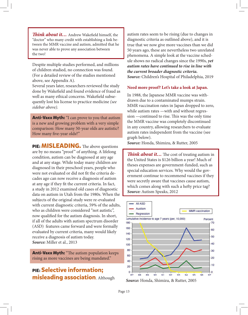**Think about it…** Andrew Wakefield himself, the "doctor" who many credit with establishing a link between the MMR vaccine and autism, admitted that he was never able to prove any association between the two!

Despite multiple studies performed, and millions of children studied, no connection was found. (For a detailed review of the studies mentioned above, see Appendix A).

Several years later, researchers reviewed the study done by Wakefield and found evidence of fraud as well as many ethical concerns. Wakefield subsequently lost his license to practice medicine *(see sidebar above).* 

**Anti-Vaxx Myth:** "I can prove to you that autism is a new and growing problem with a very simple comparison: How many 50-year olds are autistic? How many five-year olds?"

**PIE: MISLEADING.** The above questions are by no means "proof" of anything. A lifelong condition, autism can be diagnosed at any age and at any stage. While today many children are diagnosed in their preschool years, people who were not evaluated or did not fit the criteria decades ago can now receive a diagnosis of autism at any age if they fit the current criteria. In fact, a study in 2012 examined old cases of diagnostic data on autism in Utah from the 1980s. When the subjects of the original study were re-evaluated with current diagnostic criteria, 59% of the adults, who as children were considered "not autistic", now qualified for the autism diagnosis. In short, if all of the adults with autism spectrum disorder (ASD) features came forward and were formally evaluated by current criteria, many would likely receive a diagnosis of autism today. *Source:* Miller et al., 2013

**Anti-Vaxx Myth:** "The autism population keeps rising as more vaccines are being mandated."

## **PIE: Selective information; misleading association**. Although

autism rates seem to be rising (due to changes in diagnostic criteria as outlined above), and it is true that we now give more vaccines than we did 50 years ago, these are nevertheless two unrelated phenomena. A simple look at the vaccine schedule shows no radical changes since the 1990s, *yet autism rates have continued to rise in line with the current broader diagnostic criteria. Source:* Children's Hospital of Philadelphia, 2019

#### **Need more proof? Let's take a look at Japan.**

In 1988, the Japanese MMR vaccine was withdrawn due to a contaminated mumps strain. MMR vaccination rates in Japan dropped to zero, while autism rates —with and without regression —continued to rise. This was the only time the MMR vaccine was completely discontinued in any country, allowing researchers to evaluate autism rates independent from the vaccine (see graph below).

*Source:* Honda, Shimizu, & Rutter, 2005

**Think about it...** The cost of treating autism in the United States is \$126 billion a year! Much of theses expenses are government-funded, such as special education services. Why would the government continue to recommend vaccines if they were secretly aware that vaccines cause autism, which comes along with such a hefty price tag? *Source:* Autism Speaks, 2012

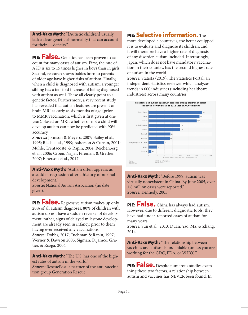**Anti-Vaxx Myth:** "[Autistic children] usually lack a clear genetic abnormality that can account for their ... deficits."

**PIE:** False. Genetics has been proven to account for many cases of autism. First, the rate of ASD is six to 15 times higher in boys than in girls. Second, research shows babies born to parents of older age have higher risks of autism. Finally, when a child is diagnosed with autism, a younger sibling has a ten-fold increase of being diagnosed with autism as well. These all clearly point to a genetic factor. Furthermore, a very recent study has revealed that autism features are present on brain MRI as early as six months of age (prior to MMR vaccination, which is first given at one year). Based on MRI, whether or not a child will develop autism can now be predicted with 90% accuracy.

*Sources:* Johnson & Meyers, 2007; Bailey et al., 1995; Risch et al., 1999; Asherson & Curran, 2001; Muhle, Trentacoste, & Rapin, 2004; Reichenberg et al., 2006; Croen, Najjar, Fireman, & Grether, 2007; Emerson et al., 2017

**Anti-Vaxx Myth:** "Autism often appears as a sudden regression after a history of normal development."

*Source:* National Autism Association (no date given).

**PIE:** False. Regressive autism makes up only 20% of all autism diagnoses. 80% of children with autism do not have a sudden reversal of development; rather, signs of delayed milestone development are already seen in infancy, prior to them having ever received any vaccinations. *Source:* Dobbs, 2017; Tuchman & Rapin, 1997; Werner & Dawson 2005; Sigman, Dijamco, Gratier, & Rozga, 2004

Anti-Vaxx Myth: "The U.S. has one of the highest rates of autism in the world." *Source:* RescuePost, a partner of the anti-vaccination group Generation Rescue.

## **PIE: Selective information.** The

more developed a country is, the better equipped it is to evaluate and diagnose its children, and it will therefore have a higher rate of diagnosis of any disorder, autism included. Interestingly, Japan, which does not have mandatory vaccination in their country, has the second highest rate of autism in the world.

**Source:** Statista (2019): The Statistics Portal, an independent statistics reviewer which analyzes trends in 600 industries (including healthcare industries) across many countries.



**Anti-Vaxx Myth:** "Before 1999, autism was virtually nonexistent in China. By June 2005, over 1.8 million cases were reported." *Source:* Kennedy, 2005

**PIE: False.** China has always had autism. However, due to different diagnostic tools, they have had under-reported cases of autism for many years.

*Source:* Sun et al., 2013; Duan, Yao, Ma, & Zhang, 2014

**Anti-Vaxx Myth:** "The relationship between vaccines and autism is undeniable (unless you are working for the CDC, FDA, or WHO)."

**PIE: False.** Despite numerous studies examining these two factors, a relationship between autism and vaccines has NEVER been found. In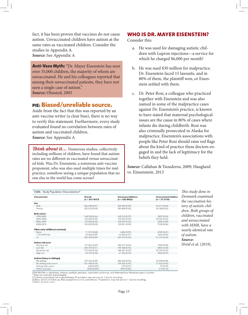fact, it has been proven that vaccines do not cause autism. Unvaccinated children have autism at the same rates as vaccinated children. Consider the studies in Appendix A. *Source:* See Appendix A

**Anti-Vaxx Myth:** "Dr. Mayer Eisenstein has seen over 35,000 children, the majority of whom are unvaccinated. He and his colleagues reported that among their unvaccinated patients, they have not seen a single case of autism." *Source:* Olmsted, 2005

#### **PIE: Biased/unreliable source.**

Aside from the fact that this was reported by an anti-vaccine writer (a clear bias), there is no way to verify this statement. Furthermore, every study evaluated found no correlation between rates of autism and vaccinated children. *Source:* See Appendix A

*Think about it...* Numerous studies, collectively including millions of children, have found that autism rates are no different in vaccinated versus unvaccinated kids. Was Dr. Eisenstein, a notorious anti-vaccine proponent, who was also sued multiple times for malpractice, somehow seeing a unique population that no one else in the world has come across?

#### **WHO IS DR. MAYER EISENSTEIN?**

Consider this:

- a. He was sued for damaging autistic children with Lupron injections—a service for which he charged \$6,000 per month!
- b. He was sued \$30 million for malpractice. Dr. Eisenstein faced 15 lawsuits, and in 80% of them, the plaintiff won, or Eisenstein settled with them.
- c. Dr. Peter Rosi, a colleague who practiced together with Eisenstein and was also named in some of the malpractice cases against Dr. Eisenstein's practice, is known to have stated that maternal psychological issues are the cause in 80% of cases where infants die during childbirth. Rosi was also criminally prosecuted in Alaska for malpractice. Eisenstein's associations with people like Peter Rosi should raise red flags about the kind of practice these doctors engaged in and the lack of legitimacy for the beliefs they held.

*Source:* Callahan & Tsouderos, 2009; Haugland vs. Einsenstein, 2013

| Table. Study Population Characteristics* | This study done in        |                                                |                                                  |                        |
|------------------------------------------|---------------------------|------------------------------------------------|--------------------------------------------------|------------------------|
| Characteristic                           | Overall<br>$(n = 657461)$ | <b>Vaccinated Children</b><br>$(n = 625842)$ ‡ | <b>Unvaccinated Children</b><br>$(n = 31 619)$ ‡ | Denmark examined       |
| Sex                                      |                           |                                                |                                                  | the vaccination his-   |
| Male                                     | 336 949 (0.51)            | 320 038 (0.95)                                 | 16 911 (0.05)                                    | tory of autistic chil- |
| Female                                   | 320 512 (0.49)            | 305 804 (0.95)                                 | 14 708 (0.05)                                    | dren. Both groups of   |
| <b>Birth cohort</b>                      |                           |                                                |                                                  |                        |
| 1999-2001                                | 168 350 (0.26)            | 162 513 (0.97)                                 | 5837 (0.03)                                      | children, vaccinated   |
| 2002-2004                                | 163 478 (0.25)            | 153 439 (0.94)                                 | 10 039 (0.06)                                    |                        |
| 2005-2007                                | 165 064 (0.25)            | 159 059 (0.96)                                 | 6005 (0.04)                                      | and unvaccinated       |
| 2008-2010                                | 160 569 (0.24)            | 150 831 (0.94)                                 | 9738 (0.06)                                      | with MMR, have a       |
| Other early childhood vaccines§          |                           |                                                |                                                  | nearly identical rate  |
| None                                     | 11 571 (0.02)             | 6842 (0.59)                                    | 4729 (0.41)                                      |                        |
| 1 DTaP-IPV/Hib                           | 60 306 (0.09)             | 54 686 (0.91)                                  | 5620 (0.09)                                      | of autism.             |
| $\geq$ 2                                 | 585 584 (0.89)            | 564 314 (0.96)                                 | 21 270 (0.04)                                    |                        |
| Autism risk score                        |                           |                                                |                                                  | Source:                |
| Very low risk                            | 191 261 (0.29)            | 183 671 (0.96)                                 | 7590 (0.04)                                      | Hviid et al, (2019),   |
| Low risk                                 | 203 219 (0.31)            | 194 384 (0.96)                                 | 8835 (0.04)                                      |                        |
| Moderate risk                            | 197 220 (0.30)            | 186 491 (0.95)                                 | 10 729 (0.05)                                    |                        |
| High risk                                | 65 761 (0.10)             | 61 296 (0.93)                                  | 4465 (0.07)                                      |                        |
| Autism history in siblings§              |                           |                                                |                                                  |                        |
| No siblings                              | 319 936 (0.49)            | 306 642 (0.96)                                 | 13 294 (0.04)                                    |                        |
| No siblings with autism                  | 331 994 (0.50)            | 314 362 (0.95)                                 | 17 632 (0.05)                                    |                        |
| Siblings with autism                     | 838 (0.001)               | 759 (0.91)                                     | 79 (0.09)                                        |                        |
| Father unknown                           | 4693 (0.007)              | 4079 (0.87)                                    | 614(0.13)                                        |                        |

DTaP-IPV/Hib = diphtheria, tetanus, acellular pertussis, inactivated poliovirus, and Haemophilus influenzae type b vaccine.

And are numbers (percentages).<br>
Toda are numbers (percentages).<br>
Toda are numbers (percentages).<br>
Toda are numbers (percentages).<br>
Toda are numbers (percentages).

§ Status at study entry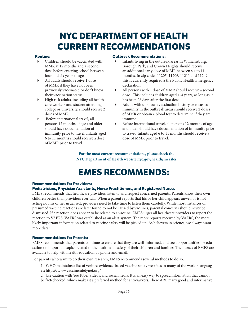# **NYC DEPARTMENT OF HEALTH CURRENT RECOMMENDATIONS**

#### **Routine:**

- Children should be vaccinated with MMR at 12 months and a second dose before entering school between four and six years of age.
- All adults should receive 1 dose of MMR if they have not been previously vaccinated or don't know their vaccination status.
- $\blacktriangleright$  High risk adults, including all health care workers and student attending college or university, should receive 2 doses of MMR.
- Before international travel, all persons 12 months of age and older should have documentation of immunity prior to travel. Infants aged 6 to 11 months should receive a dose of MMR prior to travel.

#### **Outbreak Recommendations:**

- Infants living in the outbreak areas in Williamsburg, Borough Park, and Crown Heights should receive an additional early dose of MMR between six to 11 months. In zip codes 11205, 11206, 11211 and 11249, this is currently required a the Public Health Emergency declaration.
- All persons with 1 dose of MMR should receive a second dose. This includes children aged 1-4 years, as long as it has been 28 days after the first dose.
- Adults with unknown vaccination history or measles immunity in the outbreak areas should receive 2 doses of MMR or obtain a blood test to determine if they are immune.
- Before international travel, all persons 12 months of age and older should have documentation of immunity prior to travel. Infants aged 6 to 11 months should receive a dose of MMR prior to travel.

**For the most current recommendations, please check the NYC Department of Health website nyc.gov/health/measles**

## **EMES RECOMMENDS:**

#### **Recommendations for Providers:**

#### **Pediatricians, Physician Assistants, Nurse Practitioners, and Registered Nurses**

EMES recommends that healthcare providers listen to and respect concerned parents. Parents know their own children better than providers ever will. When a parent reports that his or her child appears unwell or is not acting not his or her usual self, providers need to take time to listen them carefully. While most instances of presumed vaccine reactions are later found to not be caused by vaccines, parental concerns should never be dismissed. If a reaction does appear to be related to a vaccine, EMES urges all healthcare providers to report the reaction to VAERS. VAERS was established as an alert system. The more reports received by VAERS, the more likely important information related to vaccine safety will be picked up. As believers in science, we always want more data!

#### **Recommendations for Parents:**

EMES recommends that parents continue to ensure that they are well-informed, and seek opportunities for education on important topics related to the health and safety of their children and families. The nurses of EMES are available to help with health education by phone and email.

For parents who want to do their own research, EMES recommends several methods to do so:

- 1. WHO maintains a list of verified evidence-based vaccine safety websites in many of the world's languages: https://www.vaccinesafetynet.org/
- 2. Use caution with YouTube, videos, and social media. It is an easy way to spread information that cannot be fact-checked, which makes it a preferred method for anti-vaxxers. There ARE many good and informative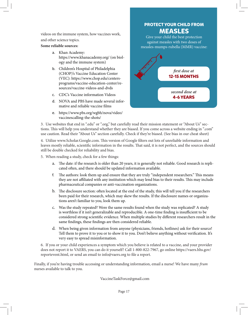videos on the immune system, how vaccines work, and other science topics.

#### **Some reliable sources:**

- a. Khan Academy: https://www.khanacademy.org/ (on biology and the immune system)
- b. Children's Hospital of Philadelphia (CHOP)'s Vaccine Education Center (VEC): https://www.chop.edu/centersprograms/vaccine-education-center/resources/vaccine-videos-and-dvds
- c. CDC's Vaccine information Videos
- d. NOVA and PBS have made several informative and reliable vaccine films
- e. https://www.pbs.org/wgbh/nova/video/ vaccinescalling-the-shots/



3. Use websites that end in ".edu" or ".org," but carefully read their mission statement or "About Us" sections. This will help you understand whether they are biased. If you come across a website ending in ".com" use caution. Read their "About Us" section carefully. Check if they're biased. (See bias in our cheat sheet)

4. Utilize www.Scholar.Google.com. This version of Google filters out lots of unreliable information and leaves mostly reliable, scientific information in the results. That said, it is not perfect, and the sources should still be double checked for reliability and bias.

5. When reading a study, check for a few things:

- a. The date: if the research is older than 20 years, it is generally not reliable. Good research is replicated often, and there should be updated information available.
- f. The authors: look them up and ensure that they are truly "independent researchers." This means they are not affiliated with any institution which may lend bias to their results. This may include pharmaceutical companies or anti-vaccination organizations.
- b. The disclosure section: often located at the end of the study, this will tell you if the researchers been paid for their research, which may skew the results. If the disclosure names or organizations aren't familiar to you, look them up.
- c. Was the study repeated? Were the same results found when the study was replicated? A study is worthless if it isn't generalizable and reproducible. A one-time finding is insufficient to be considered strong scientific evidence. When multiple studies by different researchers result in the same findings, these findings are then considered reliable.
- d. When being given information from anyone (physicians, friends, hotlines) ask for their source! Tell them to prove it to you or to show it to you. Don't believe anything without verification. It's very easy to spread misinformation.

6. If you or your child experiences a symptom which you believe is related to a vaccine, and your provider does not report it to VAERS, you can do it yourself! Call 1-800-822-7967, go online https://vaers.hhs.gov/ reportevent.html, or send an email to info@vaers.org to file a report.

Finally, if you're having trouble accessing or understanding information, email a nurse! We have many *frum* nurses available to talk to you.

VaccineTaskForce@gmail.com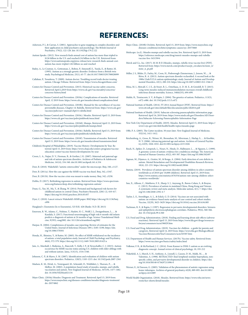## **REFERENCES:**

- Asherson, P. J., & Curran, S. (2001). Approaches to gene mapping in complex disorders and their application in child psychiatry and psychology. The British Journal of Psychiatry, 179(2), 122-128. doi: 10.1192/bjp.179.2.122
- Autism Speaks. (2012). New research finds annual cost of autism has more than tripled to \$126 billion in the U.S. and reached £34 billion in the U.K. Retrieved from: https://www.autismspeaks.org/press-release/new-research-finds-annual-costautism-has-more-tripled-126-billion-us-and-reached
- Bailey, A., Le Couteur, A., Gottesman, I., Bolton, P., Simonoff, E., Yuzda, E., & Rutter, M. (1995). Autism as a strongly genetic disorder: Evidence from a British twin study. Psychological Medicine, 25(1), 63-77. doi:10.1017/S0033291700028099
- Callahan, P., Tsouderos, T. (2009). Autism doctor: Troubling record trails doctor treating autism. Chicago Tribune. Retrieved from: https://www.chicagotribune.com/
- Centers for Disease Control and Prevention. (2015). Historical vaccine safety concerns. Retrieved April 2,2019 from https://www.cdc.gov/vaccinesafety/concerns/ concerns-history.html
- Centers for Disease Control and Prevention. (2018a). Complications of measles. Retrieved April, 12 2019 from: https://www.cdc.gov/measles/about/complications.html
- Centers for Disease Control and Prevention. (2018b). Manual for the surveillance of vaccinepreventable diseases, Chapter 14: Rubella. Retrieved from: https://www.cdc.gov/ vaccines/pubs/surv-manual/chpt14-rubella.html
- Centers for Disease Control and Prevention. (2018c). Measles. Retrieved April 15, 2019 from: https://www.cdc.gov/vaccines/pubs/pinkbook/meas.html
- Centers for Disease Control and Prevention. (2018d). Mumps. Retrieved April 15, 2019 from: https://www.cdc.gov/vaccines/pubs/pinkbook/mumps.html
- Centers for Disease Control and Prevention. (2018e). Rubella. Retrieved April 15, 2019 from: https://www.cdc.gov/vaccines/pubs/pinkbook/rubella.html
- Centers for Disease Control and Prevention. (2018f). Transmission of measles. Retrieved April 15, 2019 from: https://www.cdc.gov/measles/about/transmission.html
- Children's Hospital of Philadelphia. (2019). Vaccine History: Developments by Year. Retreived April 15, 2019 from: https://www.chop.edu/centers-programs/vaccineeducation-center/vaccine-history/developments-by-year
- Croen, L. A., Najjar, D. V., Fireman, B., & Grether, J. K. (2007). Maternal and paternal age and risk of autism spectrum disorders. Archives of Pediatrics & Adolescent Medicine, 161(4), 334-340. doi:10.1001/archpedi.161.4.334
- Deer, B. (2010). Wakefield's "autistic enterocolitis" under the microscope. Bmj, 340, c1127.
- Deer, B. (2011a). How the case against the MMR vaccine was fixed. Bmj, 342, c5347.
- Deer, B. (2011b). How the vaccine crisis was meant to make money. Bmj, 342, c5258.
- Dobbs, D. (2017). Rethinking regression in autism. Retrieved from: https://www.spectrumnews.org/features/deep-dive/rethinking-regression-autism/
- Duan, G., Yao, M., Ma, Y., & Zhang, W. (2014). Perinatal and background risk factors for childhood autism in central China. Psychiatry Research, 220(1-2), 410-417. https://doi.org/10.1016/j.psychres.2014.05.057
- Dyer, C. (2010). Lancet retracts Wakefield's MMR paper. BMJ https://doi.org/10.1136/bmj. c696
- Haugland v. Eisenstein (In re Eisenstein), 525 B.R. 428 (Bankr. N.D. Ill. 2013)
- Emerson, R. W., Adams, C., Nishino, T., Hazlett, H. C., Wolff, J. J., Zwaigenbaum, L., Kandala, S. (2017). Functional neuroimaging of high-risk 6-month-old infants predicts a diagnosis of autism at 24 months of age. Science Translational Medicine, 9(393), eaag2882. doi: 10.1126/scitranslmed.aag2882
- Harpaz. R. (2004). Completeness of measles case reporting: Review of estimates for the United States. Journal of Infectious Diseases 189:1, S185–S190, https://doi. org/10.1086/378501
- Honda, H., Shimizu, Y., & Rutter, M. (2005). No effect of MMR withdrawal on the incidence of autism: a total population study. Journal of Child Psychology and Psychiatry, 46(6), 572-579. https://doi.org/10.1111/j.1469-7610.2005.01425.x
- Jain, A., Marshall, J., Buikema, A., Bancroft, T., Kelly, J. P., & Newschaffer, C. J. (2015). Autism occurrence by MMR vaccine status among U.S. children with older siblings with and without autism. Jama, 313(15), 1534-1540.
- Johnson, C. P., & Myers, S. M. (2007). Identification and evaluation of children with autism spectrum disorders. Pediatrics, 120(5), 1183-1215. doi: 10.1542/peds.2007-2361
- Madsen, K. M., Hviid, A., Vestergaard, M., Schendel, D., Wohlfahrt, J., Thorsen, P., ... & Melbye, M. (2002). A population-based study of measles, mumps, and rubella vaccination and autism. New England Journal of Medicine, 347(19), 1477-1482. doi: 10.1056/NEJMoa021134
- Mayo Clinic. (2018a) Measles: Diagnosis and Treatment. Retrieved April 15, 2019 from: https://www.mayoclinic.org/diseases-conditions/measles/diagnosis-treatment/ drc-20374862
- Mayo Clinic. (2018b) Orchitis. Retrieved April 15, 2019 from: https://www.mayoclinic.org/ diseases-conditions/orchitis/symptoms-causes/syc-20375860
- Medscape. (n.d.). Measles mumps and rubella vaccine, live. Retrieved April 15, 2019 from https://reference.medscape.com/drug/mmrii-measles-mumps-and-rubellavaccine-live-343159#4
- Merck and Co., Inc. (2017). M-M-R II (Measles, mumps, rubella virus vaccine live) [PDF]. Retrieved from: https://www.merck.com/product/usa/pi\_circulars/m/mmr\_ii/ mmr\_ii\_pi.pdf
- Miller, J. S., Bilder, D., Farley, M., Coon, H., Pinborough-Zimmerman, J., Jenson, W., ... & Ritvo, R. A. (2013). Autism spectrum disorder reclassified: A second look at the 1980s Utah/UCLA autism epidemiologic study. Journal of Autism and Developmental Disorders, 43(1), 200-210. https://doi.org/10.1007/s10803-012-1566-0
- Mina, M. J., Metcalf, C. J. E., de Swart, R. L., Osterhaus, A. D. M. E., & Grenfell, B. T. (2015). Long-term measles-induced immunomodulation increases overall childhood infectious disease mortality. Science, 348(6235), 694-699.
- Muhle, R., Trentacoste, S. V., & Rapin, I. (2004). The genetics of autism. Pediatrics, 113(5), e472-e486. doi: 10.1542/peds.113.5.e472
- National Institute of Health. (2014). FY-2014 Annual Report [PDF]. Retrieved from: https:// www.ott.nih.gov/sites/default/files/documents/pdfs/AR2014.pdf
- National Institute of Health. (2019). Subacute sclerosing panencephalitis information page. Retrieved April 16, 2019 from: https://www.ninds.nih.gov/Disorders/All-Disorders/Subacute-Sclerosing-Panencephalitis-Information-Page
- New York City Department of Health. (2019). Measles. Retrieved April 15, 2019 from: https:// www1.nyc.gov/site/doh/health/health-topics/measles.page
- Offit, P. A. (2005). The Cutter incident, 50 years later. New England Journal of Medicine, 352(14), 1411-1412.
- Reichenberg, A., Gross, R., Weiser, M., Bresnahan, M., Silverman, J., Harlap, S., ... & Knobler, H. Y. (2006). Advancing paternal age and autism. Archives of General Psychia-try, 63(9), 1026-1032. doi:10.1001/archpsyc.63.9.1026
- Risch, N., Spiker, D., Lotspeich, L., Nouri, N., Hinds, D., Hallmayer, J., ... & Nguyen, L. (1999). A genomic screen of autism: evidence for a multilocus etiology. The American Journal of Human Genetics, 65(2), 493-507. https://doi.org/10.1086/302497
- Sigman, M., Dijamco, A., Gratier, M., & Rozga, A. (2004). Early detection of core deficits in autism. Mental Retardation and Developmental Disabilities Research Reviews, 10(4), 221-233. https://doi.org/10.1002/mrdd.20046
- Statista. (2019). Prevalence of autism spectrum disorder among children in select countries worldwide as of 2018 (per 10,000 children). Retrieved April 15, 2019 from: https://www.statista.com/statistics/676354/autism-rate-among-children-selectcountries-worldwide/
- Sun, X., Allison, C., Matthews, F. E., Sharp, S. J., Auyeung, B., Baron-Cohen, S., & Brayne, C. (2013). Prevalence of autism in mainland China, Hong Kong and Taiwan: A systematic review and meta-analysis. Molecular autism, 4(1), 7. https://doi. org/10.1186/2040-2392-4-7
- Taylor, L. E., Swerdfeger, A. L., & Eslick, G. D. (2014). Vaccines are not associated with autism: an evidence-based meta-analysis of case-control and cohort studies. Vaccine, 32(29), 3623-3629. https://doi.org/10.1016/j.vaccine.2014.04.085
- Tuchman, R. F., & Rapin, I. (1997). Regression in pervasive developmental disorders: Seizures and epileptiform electroencephalogram correlates. Pediatrics, 99(4), 560-566. doi: 10.1542/peds.99.4.560
- U.S. Food and Drug Administration. (2018). Finding and learning about side effects (adverse reactions). Retrieved April 15, 2019 from https://www.fda.gov/drugs/resourcesforyou/consumers/ucm196029.htm
- U.S. Food and Drug Administration. (2019). Vaccines for children a guide for parents and caregivers. Retrieved April 14, 2019 from: https://www.fda.gov/BiologicsBlood-Vaccines/ResourcesforYou/Consumers/ucm345587.htm
- U.S. Department of Health and Human Services. (2017b). Vaccine safety. Retrieved from: https://www.vaccines.gov/basics/safety/index.html
- Volkmar, F. R., & McPartland, J. C. (2014). From Kanner to DSM-5: autism as an evolving diagnostic concept. Annual review of clinical psychology, 10, 193-212
- Wakefield, A. J., Murch, S. H., Anthony, A., Linnell, J., Casson, D. M., Malik, M., ... & Valentine, A. (1998). RETRACTED: Ileal-lymphoid-nodular hyperplasia, nonspecific colitis, and pervasive developmental disorder in children. https://doi. org/10.1016/S0140-6736(97)11096-0
- Werner, E., & Dawson, G. (2005). Validation of the phenomenon of autistic regression using home videotapes. Archives of general psychiatry, 62(8), 889-895. doi:10.1001/ archpsyc.62.8.889
- World Health Organization. (2018). Measles. Retrieved from: https://www.who.int/newsroom/fact-sheets/detail/measles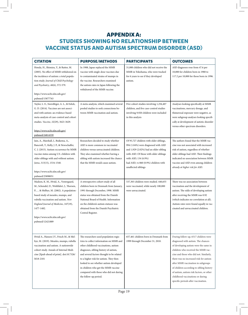## **APPENDIX A: STUDIES SHOWING NO RELATIONSHIP BETWEEN VACCINE STATUS AND AUTISM SPECTRUM DISORDER (ASD)**

| <b>CITATION</b>                                                                                                                                                                                                                                                                                                        | <b>PURPOSE/METHODS</b>                                                                                                                                                                                                                                                                                                                                                                                        | <b>PARTICIPANTS</b>                                                                                                                                                                                                                                       | <b>OUTCOMES</b>                                                                                                                                                                                                                                                                                                                                                                                                                                        |
|------------------------------------------------------------------------------------------------------------------------------------------------------------------------------------------------------------------------------------------------------------------------------------------------------------------------|---------------------------------------------------------------------------------------------------------------------------------------------------------------------------------------------------------------------------------------------------------------------------------------------------------------------------------------------------------------------------------------------------------------|-----------------------------------------------------------------------------------------------------------------------------------------------------------------------------------------------------------------------------------------------------------|--------------------------------------------------------------------------------------------------------------------------------------------------------------------------------------------------------------------------------------------------------------------------------------------------------------------------------------------------------------------------------------------------------------------------------------------------------|
| Honda, H., Shimizu, Y., & Rutter, M.<br>(2005). No effect of MMR withdrawal on<br>the incidence of autism: a total popula-<br>tion study. Journal of Child Psychology<br>and Psychiatry, 46(6), 572-579.<br>https://www.ncbi.nlm.nih.gov/<br>pubmed/15877763                                                           | In 1988, Japan replaced the MMR<br>vaccine with single-dose vaccines due<br>to contaminated strains of mumps in<br>the vaccine. Researchers examined<br>the autism rates in Japan following the<br>withdrawal of the MMR vaccine.                                                                                                                                                                             | 31,000 children who did not receive the<br>MMR in Yokohama, who were tracked<br>for 6 years to see if they developed<br>autism.                                                                                                                           | ASD diagnoses rose from 47.6 per<br>10,000 for children born in 1988 to<br>117.2 per 10,000 for those born in 1996.                                                                                                                                                                                                                                                                                                                                    |
| Taylor, L. E., Swerdfeger, A. L., & Eslick,<br>G. D. (2014). Vaccines are not associ-<br>ated with autism: an evidence-based<br>meta-analysis of case-control and cohort<br>studies. Vaccine, 32(29), 3623-3629.<br>https://www.ncbi.nlm.nih.gov/<br>pubmed/24814559                                                   | A meta-analysis, which examined several<br>pooled studies to seek connections be-<br>tween MMR vaccination and autism.                                                                                                                                                                                                                                                                                        | Five cohort studies involving 1,256,407<br>children, and five case-control studies<br>involving 9,920 children were included<br>in this analysis                                                                                                          | Analyses looking specifically at MMR<br>vaccinations, mercury dosage, and<br>thimerosal exposure were negative, as<br>were subgroup analyses looking specifi-<br>cally at development of autistic disorder<br>versus other spectrum disorders.                                                                                                                                                                                                         |
| Jain, A., Marshall, J., Buikema, A.,<br>Bancroft, T., Kelly, J. P., & Newschaffer,<br>C. J. (2015). Autism occurrence by MMR<br>vaccine status among U.S. children with<br>older siblings with and without autism.<br>Jama, 313(15), 1534-1540.<br>https://www.ncbi.nlm.nih.gov/<br>pubmed/25898051                    | Researchers decided to study whether<br>ASD is more common in vaccinated<br>children versus unvaccinated children.<br>They also examined whether having a<br>sibling with autism increased the chance<br>that the MMR would cause autism.                                                                                                                                                                     | Of 95,727 children with older siblings,<br>994 (1.04%) were diagnosed with ASD<br>and 1,929 (2.02%) had an older sibling<br>with ASD. Of those with older siblings<br>with ASD, 134 (6.9%)<br>had ASD, vs 860 (0.9%) children with<br>unaffected siblings | The authors found that the MMR vac-<br>cine was not associated with increased<br>risk of autism, regardless of whether<br>older siblings had ASD. Their findings<br>indicated no association between MMR<br>vaccine and ASD even among children<br>already at higher risk for ASD.                                                                                                                                                                     |
| Madsen, K. M., Hviid, A., Vestergaard,<br>M., Schendel, D., Wohlfahrt, J., Thorsen,<br>P.,  & Melbye, M. (2002). A population-<br>based study of measles, mumps, and<br>rubella vaccination and autism. New<br>England Journal of Medicine, 347(19),<br>1477-1482.<br>https://www.ncbi.nlm.nih.gov/<br>pubmed/12421889 | A retrospective cohort study of all<br>children born in Denmark from January,<br>1991 through December, 1998. MMR<br>status was obtained from the Danish<br>National Board of Health. Information<br>on the children's autism statuses was<br>obtained from the Danish Psychiatric<br>Central Register.                                                                                                       | 537,303 children were studied. 440,655<br>were vaccinated, while nearly 100,000<br>were unvaccinated.                                                                                                                                                     | There was no association between<br>vaccination and the development of<br>autism. The odds of developing autism<br>after receiving the MMR was 0.92<br>(which indicates no correlation at all).<br>Autism rates were found equally in vac-<br>cinated and unvaccinated children.                                                                                                                                                                       |
| Hviid A., Hansen J.V., Frisch M., & Mel-<br>bye, M. (2019). Measles, mumps, rubella<br>vaccination and autism. A nationwide<br>cohort study. Annals of Internal Medi-<br>cine [Epub ahead of print]. doi:10.7326/<br>M18-2101                                                                                          | The researchers used population regis-<br>tries to collect information on MMR and<br>other childhood vaccinations, autism<br>diagnoses, sibling history of autism,<br>and several factors thought to be related<br>to a higher risk for autism. They then<br>looked to see whether autism developed<br>in children who got the MMR vaccine<br>compared with those who did not during<br>the follow-up period. | 657,461 children born in Denmark from<br>1999 through December 31, 2010.                                                                                                                                                                                  | During follow-up, 6517 children were<br>diagnosed with autism. The chances<br>of developing autism were the same in<br>children who received the MMR vac-<br>cine and those who did not. Similarly,<br>there was no increased risk for autism<br>after MMR vaccination in subgroups<br>of children according to sibling history<br>of autism, autism risk factors, or other<br>childhood vaccinations or during<br>specific periods after vaccination. |